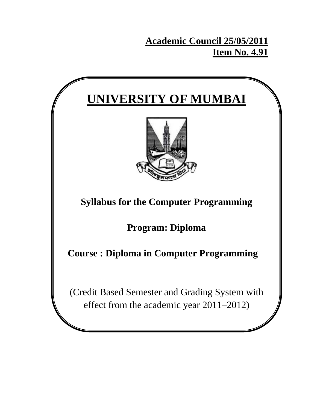# **Academic Council 25/05/2011 Item No. 4.91**

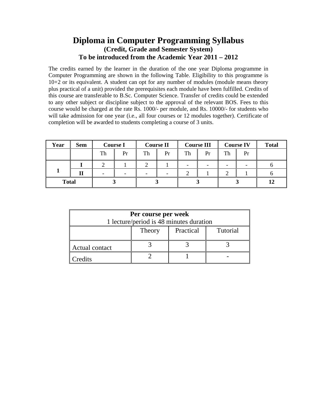# **Diploma in Computer Programming Syllabus (Credit, Grade and Semester System) To be introduced from the Academic Year 2011 – 2012**

The credits earned by the learner in the duration of the one year Diploma programme in Computer Programming are shown in the following Table. Eligibility to this programme is 10+2 or its equivalent. A student can opt for any number of modules (module means theory plus practical of a unit) provided the prerequisites each module have been fulfilled. Credits of this course are transferable to B.Sc. Computer Science. Transfer of credits could be extended to any other subject or discipline subject to the approval of the relevant BOS. Fees to this course would be charged at the rate Rs. 1000/- per module, and Rs. 10000/- for students who will take admission for one year (i.e., all four courses or 12 modules together). Certificate of completion will be awarded to students completing a course of 3 units.

| Year         | <b>Sem</b> |    | <b>Course I</b> |    | <b>Course II</b> |    | <b>Course III</b> |    | <b>Course IV</b> | <b>Total</b> |
|--------------|------------|----|-----------------|----|------------------|----|-------------------|----|------------------|--------------|
|              |            | Th | Pr              | Th | Pr               | Th | Pr                | Th | Pr               |              |
|              |            |    |                 |    |                  |    |                   |    |                  |              |
|              | П          |    |                 | -  |                  |    |                   |    |                  |              |
| <b>Total</b> |            |    |                 |    |                  |    |                   |    |                  | 12           |

| Per course per week                     |                                 |  |  |  |  |  |
|-----------------------------------------|---------------------------------|--|--|--|--|--|
| 1 lecture/period is 48 minutes duration |                                 |  |  |  |  |  |
|                                         | Practical<br>Tutorial<br>Theory |  |  |  |  |  |
| Actual contact                          |                                 |  |  |  |  |  |
| Credits                                 |                                 |  |  |  |  |  |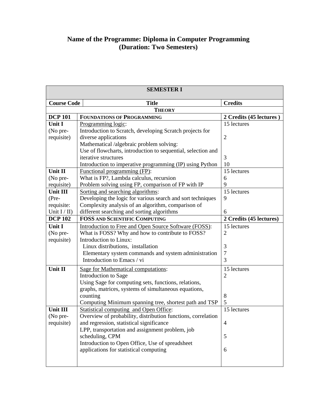# **Name of the Programme: Diploma in Computer Programming (Duration: Two Semesters)**

| <b>SEMESTER I</b>  |                                                              |                         |  |
|--------------------|--------------------------------------------------------------|-------------------------|--|
| <b>Course Code</b> | <b>Title</b>                                                 | <b>Credits</b>          |  |
|                    | <b>THEORY</b>                                                |                         |  |
| <b>DCP 101</b>     | <b>FOUNDATIONS OF PROGRAMMING</b>                            | 2 Credits (45 lectures) |  |
| <b>Unit I</b>      | Programming logic:                                           | 15 lectures             |  |
| (No pre-           | Introduction to Scratch, developing Scratch projects for     |                         |  |
| requisite)         | diverse applications                                         | $\overline{2}$          |  |
|                    | Mathematical /algebraic problem solving:                     |                         |  |
|                    | Use of flowcharts, introduction to sequential, selection and |                         |  |
|                    | iterative structures                                         | 3                       |  |
|                    | Introduction to imperative programming (IP) using Python     | 10                      |  |
| Unit II            | Functional programming (FP):                                 | 15 lectures             |  |
| (No pre-           | What is FP?, Lambda calculus, recursion                      | 6                       |  |
| requisite)         | Problem solving using FP, comparison of FP with IP           | 9                       |  |
| Unit III           | Sorting and searching algorithms:                            | 15 lectures             |  |
| $(Pre-$            | Developing the logic for various search and sort techniques  | 9                       |  |
| requisite:         | Complexity analysis of an algorithm, comparison of           |                         |  |
| Unit $I/II$ )      | different searching and sorting algorithms                   | 6                       |  |
| <b>DCP 102</b>     | <b>FOSS AND SCIENTIFIC COMPUTING</b>                         | 2 Credits (45 lectures) |  |
| Unit I             | Introduction to Free and Open Source Software (FOSS):        | 15 lectures             |  |
| (No pre-           | What is FOSS? Why and how to contribute to FOSS?             | $\overline{2}$          |  |
| requisite)         | Introduction to Linux:                                       |                         |  |
|                    | Linux distributions, installation                            | 3                       |  |
|                    | Elementary system commands and system administration         | 7                       |  |
|                    | Introduction to Emacs / vi                                   | 3                       |  |
| Unit II            | <b>Sage for Mathematical computations:</b>                   | 15 lectures             |  |
|                    | Introduction to Sage                                         | $\overline{2}$          |  |
|                    | Using Sage for computing sets, functions, relations,         |                         |  |
|                    | graphs, matrices, systems of simultaneous equations,         |                         |  |
|                    | counting                                                     | 8                       |  |
|                    | Computing Minimum spanning tree, shortest path and TSP       | 5                       |  |
| Unit III           | <b>Statistical computing and Open Office:</b>                | 15 lectures             |  |
| (No pre-           | Overview of probability, distribution functions, correlation |                         |  |
| requisite)         | and regression, statistical significance                     | $\overline{4}$          |  |
|                    | LPP, transportation and assignment problem, job              |                         |  |
|                    | scheduling, CPM                                              | 5                       |  |
|                    | Introduction to Open Office, Use of spreadsheet              |                         |  |
|                    | applications for statistical computing                       | 6                       |  |
|                    |                                                              |                         |  |
|                    |                                                              |                         |  |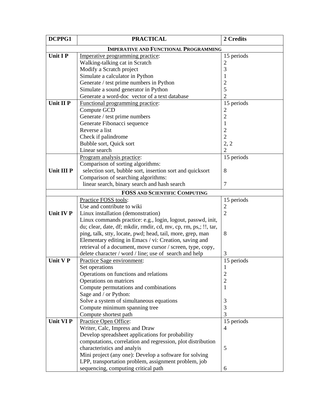| DCPPG1            | <b>PRACTICAL</b>                                                 | 2 Credits      |
|-------------------|------------------------------------------------------------------|----------------|
|                   | <b>IMPERATIVE AND FUNCTIONAL PROGRAMMING</b>                     |                |
| <b>Unit IP</b>    | Imperative programming practice:                                 | 15 periods     |
|                   | Walking-talking cat in Scratch                                   | 2              |
|                   | Modify a Scratch project                                         | 3              |
|                   | Simulate a calculator in Python                                  |                |
|                   | Generate / test prime numbers in Python                          | $\overline{c}$ |
|                   | Simulate a sound generator in Python                             | 5              |
|                   | Generate a word-doc vector of a text database                    | $\overline{2}$ |
| Unit II P         | Functional programming practice:                                 | 15 periods     |
|                   | Compute GCD                                                      | $\overline{2}$ |
|                   | Generate / test prime numbers                                    | $\overline{2}$ |
|                   | Generate Fibonacci sequence                                      | 1              |
|                   | Reverse a list                                                   | $\overline{c}$ |
|                   | Check if palindrome                                              | $\overline{2}$ |
|                   | Bubble sort, Quick sort                                          | 2, 2           |
|                   | Linear search                                                    | $\overline{2}$ |
|                   | Program analysis practice:                                       | 15 periods     |
|                   | Comparison of sorting algorithms:                                |                |
| <b>Unit III P</b> | selection sort, bubble sort, insertion sort and quicksort        | 8              |
|                   | Comparison of searching algorithms:                              |                |
|                   | linear search, binary search and hash search                     | $\tau$         |
|                   | <b>FOSS AND SCIENTIFIC COMPUTING</b>                             |                |
|                   | Practice FOSS tools:                                             | 15 periods     |
|                   | Use and contribute to wiki                                       | $\overline{c}$ |
| Unit IV P         | Linux installation (demonstration)                               | $\overline{2}$ |
|                   | Linux commands practice: e.g., login, logout, passwd, init,      |                |
|                   | du; clear, date, df; mkdir, rmdir, cd, mv, cp, rm, ps,; !!, tar, |                |
|                   | ping, talk, stty, locate, pwd; head, tail, more, grep, man       | 8              |
|                   | Elementary editing in Emacs / vi: Creation, saving and           |                |
|                   | retrieval of a document, move cursor / screen, type, copy,       |                |
|                   | delete character / word / line; use of search and help           | 3              |
| Unit V P          | Practice Sage environment:                                       | 15 periods     |
|                   | Set operations                                                   | $\mathbf{I}$   |
|                   | Operations on functions and relations                            | $\overline{c}$ |
|                   | Operations on matrices                                           | $\overline{2}$ |
|                   | Compute permutations and combinations                            | 1              |
|                   | Sage and / or Python:                                            |                |
|                   | Solve a system of simultaneous equations                         | 3              |
|                   | Compute minimum spanning tree                                    | 3              |
|                   | Compute shortest path                                            | 3              |
| Unit VI P         | Practice Open Office:                                            | 15 periods     |
|                   | Writer, Calc, Impress and Draw                                   | $\overline{4}$ |
|                   | Develop spreadsheet applications for probability                 |                |
|                   | computations, correlation and regression, plot distribution      |                |
|                   | characteristics and analyis                                      | 5              |
|                   | Mini project (any one): Develop a software for solving           |                |
|                   | LPP, transportation problem, assignment problem, job             |                |
|                   | sequencing, computing critical path                              | 6              |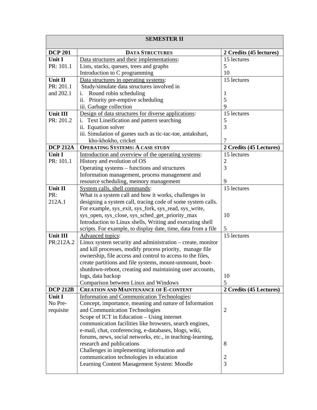|                 | <b>SEMESTER II</b>                                                                     |                         |
|-----------------|----------------------------------------------------------------------------------------|-------------------------|
| <b>DCP 201</b>  | <b>DATA STRUCTURES</b>                                                                 | 2 Credits (45 lectures) |
| <b>Unit I</b>   | Data structures and their implementations:                                             | 15 lectures             |
| PR: 101.1       | Lists, stacks, queues, trees and graphs                                                | 5                       |
|                 | Introduction to C programming                                                          | 10                      |
| Unit II         | Data structures in operating systems:                                                  | 15 lectures             |
| PR: 201.1       | Study/simulate data structures involved in                                             |                         |
| and 202.1       | Round robin scheduling<br>i.                                                           | 1                       |
|                 | ii. Priority pre-emptive scheduling                                                    | 5                       |
|                 | iii. Garbage collection                                                                | 9                       |
| Unit III        | Design of data structures for diverse applications:                                    | 15 lectures             |
| PR: 201.2       | Text Lineification and pattern searching<br>i.                                         | 5                       |
|                 | ii. Equation solver                                                                    | 3                       |
|                 | iii. Simulation of games such as tic-tac-toe, antakshari,                              |                         |
|                 | kho-khokho, cricket                                                                    | 7                       |
| <b>DCP 212A</b> | <b>OPERATING SYSTEMS: A CASE STUDY</b>                                                 | 2 Credits (45 Lectures) |
| <b>Unit I</b>   | Introduction and overview of the operating systems:                                    | 15 lectures             |
| PR: 101.1       | History and evolution of OS                                                            | $\overline{2}$          |
|                 | Operating systems – functions and structures                                           | 3                       |
|                 | Information management, process management and                                         |                         |
| Unit II         | resource scheduling, memory management                                                 | 9<br>15 lectures        |
| PR:             | System calls, shell commands:<br>What is a system call and how it works, challenges in |                         |
| 212A.1          | designing a system call, tracing code of some system calls.                            |                         |
|                 | For example, sys_exit, sys_fork, sys_read, sys_write,                                  |                         |
|                 | sys_open, sys_close, sys_sched_get_priority_max                                        | 10                      |
|                 | Introduction to Linux shells, Writing and executing shell                              |                         |
|                 | scripts. For example, to display date, time, data from a file                          | 5                       |
| Unit III        | Advanced topics:                                                                       | 15 lectures             |
| PR:212A.2       | Linux system security and administration – create, monitor                             |                         |
|                 | and kill processes, modify process priority, manage file                               |                         |
|                 | ownership, file access and control to access to the files,                             |                         |
|                 | create partitions and file systems, mount-unmount, boot-                               |                         |
|                 | shutdown-reboot, creating and maintaining user accounts,                               |                         |
|                 | logs, data backup                                                                      | 10                      |
|                 | Comparison between Linux and Windows                                                   | 5                       |
| <b>DCP 212B</b> | <b>CREATION AND MAINTENANCE OF E-CONTENT</b>                                           | 2 Credits (45 Lectures) |
| Unit I          | <b>Information and Communication Technologies:</b>                                     |                         |
| No Pre-         | Concept, importance, meaning and nature of Information                                 |                         |
| requisite       | and Communication Technologies                                                         | $\overline{2}$          |
|                 | Scope of ICT in Education – Using internet                                             |                         |
|                 | communication facilities like browsers, search engines,                                |                         |
|                 | e-mail, chat, conferencing, e-databases, blogs, wiki,                                  |                         |
|                 | forums, news, social networks, etc., in teaching-learning,                             |                         |
|                 | research and publications                                                              | 8                       |
|                 | Challenges in implementing information and                                             |                         |
|                 | communication technologies in education<br>Learning Content Management System: Moodle  | $\overline{c}$<br>3     |
|                 |                                                                                        |                         |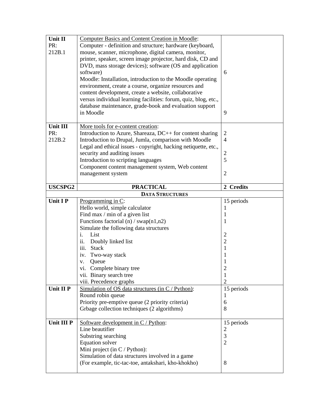| Unit II           | <b>Computer Basics and Content Creation in Moodle:</b>                                                 |                     |
|-------------------|--------------------------------------------------------------------------------------------------------|---------------------|
| PR:               | Computer - definition and structure; hardware (keyboard,                                               |                     |
| 212B.1            | mouse, scanner, microphone, digital camera, monitor,                                                   |                     |
|                   | printer, speaker, screen image projector, hard disk, CD and                                            |                     |
|                   | DVD, mass storage devices); software (OS and application                                               |                     |
|                   | software)                                                                                              | 6                   |
|                   | Moodle: Installation, introduction to the Moodle operating                                             |                     |
|                   | environment, create a course, organize resources and                                                   |                     |
|                   | content development, create a website, collaborative                                                   |                     |
|                   | versus individual learning facilities: forum, quiz, blog, etc.,                                        |                     |
|                   | database maintenance, grade-book and evaluation support                                                |                     |
|                   | in Moodle                                                                                              | 9                   |
|                   |                                                                                                        |                     |
| Unit III          | More tools for e-content creation:                                                                     |                     |
| PR:               | Introduction to Azure, Shareaza, DC++ for content sharing                                              | $\overline{2}$      |
| 212B.2            | Introduction to Drupal, Jumla, comparison with Moodle                                                  | $\overline{4}$      |
|                   | Legal and ethical issues - copyright, hacking netiquette, etc.,                                        |                     |
|                   | security and auditing issues                                                                           | $\overline{c}$      |
|                   | Introduction to scripting languages                                                                    | 5                   |
|                   | Component content management system, Web content                                                       |                     |
|                   | management system                                                                                      | $\overline{2}$      |
|                   |                                                                                                        |                     |
| <b>USCSPG2</b>    | <b>PRACTICAL</b>                                                                                       | 2 Credits           |
|                   | <b>DATA STRUCTURES</b>                                                                                 |                     |
| Unit I P          | Programming in C:                                                                                      | 15 periods          |
|                   |                                                                                                        |                     |
|                   |                                                                                                        | 1                   |
|                   | Hello world, simple calculator                                                                         | 1                   |
|                   | Find max / min of a given list                                                                         | 1                   |
|                   | Functions factorial $(n)$ / swap $(n1, n2)$                                                            |                     |
|                   | Simulate the following data structures<br>List                                                         |                     |
|                   | i.<br>ii.                                                                                              | $\overline{c}$      |
|                   | Doubly linked list<br>iii.<br><b>Stack</b>                                                             | $\overline{2}$<br>1 |
|                   |                                                                                                        |                     |
|                   | Two-way stack<br>iv.                                                                                   | $\mathbf{1}$        |
|                   | Queue<br>V.                                                                                            | 1                   |
|                   | vi. Complete binary tree                                                                               | $\mathbf{c}$        |
|                   | vii. Binary search tree                                                                                | 1                   |
|                   | viii. Precedence graphs                                                                                | $\overline{2}$      |
| Unit II P         | Simulation of OS data structures (in $C /$ Python):                                                    | 15 periods          |
|                   | Round robin queue                                                                                      | -1                  |
|                   | Priority pre-emptive queue (2 priority criteria)                                                       | 6                   |
|                   | Grbage collection techniques (2 algorithms)                                                            | 8                   |
| <b>Unit III P</b> | Software development in $C /$ Python:                                                                  |                     |
|                   | Line beautifier                                                                                        | 15 periods          |
|                   |                                                                                                        | $\overline{c}$<br>3 |
|                   | Substring searching<br>Equation solver                                                                 | $\overline{2}$      |
|                   |                                                                                                        |                     |
|                   | Mini project (in C / Python):                                                                          |                     |
|                   | Simulation of data structures involved in a game<br>(For example, tic-tac-toe, antakshari, kho-khokho) | 8                   |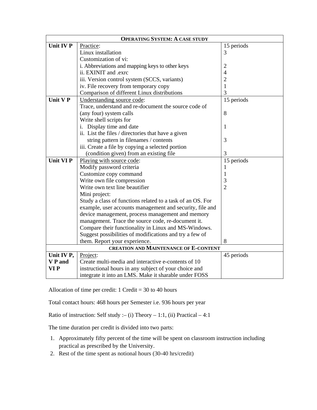|                | <b>OPERATING SYSTEM: A CASE STUDY</b>                      |                |  |  |  |
|----------------|------------------------------------------------------------|----------------|--|--|--|
| Unit IV P      | Practice:                                                  | 15 periods     |  |  |  |
|                | Linux installation                                         | 3              |  |  |  |
|                | Customization of vi:                                       |                |  |  |  |
|                | i. Abbreviations and mapping keys to other keys            | $\overline{2}$ |  |  |  |
|                | ii. EXINIT and .exrc                                       | $\overline{4}$ |  |  |  |
|                | iii. Version control system (SCCS, variants)               | $\overline{2}$ |  |  |  |
|                | iv. File recovery from temporary copy                      | $\mathbf{1}$   |  |  |  |
|                | Comparison of different Linux distributions                | 3              |  |  |  |
| Unit V P       | Understanding source code:                                 | 15 periods     |  |  |  |
|                | Trace, understand and re-document the source code of       |                |  |  |  |
|                | (any four) system calls                                    | 8              |  |  |  |
|                | Write shell scripts for                                    |                |  |  |  |
|                | Display time and date<br>i.                                | $\mathbf{1}$   |  |  |  |
|                | ii. List the files / directories that have a given         |                |  |  |  |
|                | string pattern in filenames / contents                     | 3              |  |  |  |
|                | iii. Create a file by copying a selected portion           |                |  |  |  |
|                | (condition given) from an existing file                    | 3              |  |  |  |
| Unit VI P      | Playing with source code:                                  | 15 periods     |  |  |  |
|                | Modify password criteria                                   | 1              |  |  |  |
|                | Customize copy command                                     | 1              |  |  |  |
|                | Write own file compression                                 | 3              |  |  |  |
|                | Write own text line beautifier                             | $\overline{2}$ |  |  |  |
|                | Mini project:                                              |                |  |  |  |
|                | Study a class of functions related to a task of an OS. For |                |  |  |  |
|                | example, user accounts management and security, file and   |                |  |  |  |
|                | device management, process management and memory           |                |  |  |  |
|                | management. Trace the source code, re-document it.         |                |  |  |  |
|                | Compare their functionality in Linux and MS-Windows.       |                |  |  |  |
|                | Suggest possibilities of modifications and try a few of    |                |  |  |  |
|                | them. Report your experience.                              | 8              |  |  |  |
|                | <b>CREATION AND MAINTENANCE OF E-CONTENT</b>               |                |  |  |  |
| Unit IV P,     | Project:                                                   | 45 periods     |  |  |  |
| <b>V</b> P and | Create multi-media and interactive e-contents of 10        |                |  |  |  |
| VI P           | instructional hours in any subject of your choice and      |                |  |  |  |
|                | integrate it into an LMS. Make it sharable under FOSS      |                |  |  |  |

Allocation of time per credit:  $1$  Credit = 30 to 40 hours

Total contact hours: 468 hours per Semester i.e. 936 hours per year

Ratio of instruction: Self study :– (i) Theory – 1:1, (ii) Practical – 4:1

The time duration per credit is divided into two parts:

- 1. Approximately fifty percent of the time will be spent on classroom instruction including practical as prescribed by the University.
- 2. Rest of the time spent as notional hours (30-40 hrs/credit)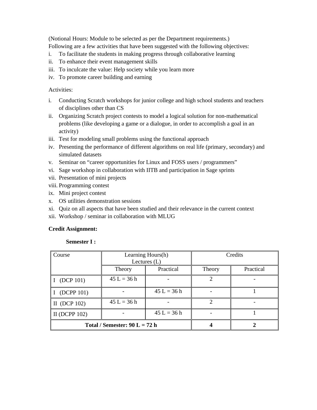(Notional Hours: Module to be selected as per the Department requirements.) Following are a few activities that have been suggested with the following objectives:

- i. To facilitate the students in making progress through collaborative learning
- ii. To enhance their event management skills
- iii. To inculcate the value: Help society while you learn more
- iv. To promote career building and earning

Activities:

- i. Conducting Scratch workshops for junior college and high school students and teachers of disciplines other than CS
- ii. Organizing Scratch project contests to model a logical solution for non-mathematical problems (like developing a game or a dialogue, in order to accomplish a goal in an activity)
- iii. Test for modeling small problems using the functional approach
- iv. Presenting the performance of different algorithms on real life (primary, secondary) and simulated datasets
- v. Seminar on "career opportunities for Linux and FOSS users / programmers"
- vi. Sage workshop in collaboration with IITB and participation in Sage sprints
- vii. Presentation of mini projects
- viii. Programming contest
- ix. Mini project contest
- x. OS utilities demonstration sessions
- xi. Quiz on all aspects that have been studied and their relevance in the current context
- xii. Workshop / seminar in collaboration with MLUG

# **Credit Assignment:**

# **Semester I :**

| Course                          | Credits<br>Learning Hours(h)<br>Lectures $(L)$ |               |        |           |
|---------------------------------|------------------------------------------------|---------------|--------|-----------|
|                                 | Theory                                         | Practical     | Theory | Practical |
| I (DCP 101)                     | $45 L = 36 h$                                  |               |        |           |
| (DCPP 101)                      |                                                | $45 L = 36 h$ |        |           |
| II (DCP $102$ )                 | $45 L = 36 h$                                  |               | っ      |           |
| II (DCPP $102$ )                |                                                | $45 L = 36 h$ |        |           |
| Total / Semester: $90 L = 72 h$ |                                                |               |        |           |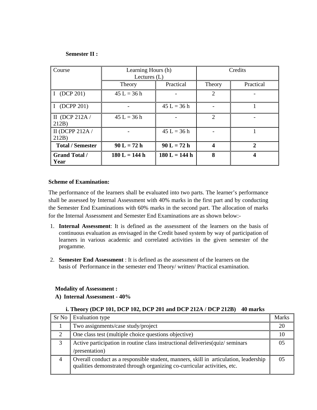# **Semester II :**

| Course                       | Learning Hours (h)<br>Lectures $(L)$ |                 | Credits                     |              |
|------------------------------|--------------------------------------|-----------------|-----------------------------|--------------|
|                              | Theory                               | Practical       | Theory                      | Practical    |
| I (DCP 201)                  | $45 L = 36 h$                        |                 | $\mathcal{D}_{\mathcal{L}}$ |              |
| I (DCPP 201)                 |                                      | $45 L = 36 h$   |                             |              |
| II (DCP 212A $/$<br>212B     | $45 L = 36 h$                        |                 | $\mathcal{D}$               |              |
| II (DCPP 212A /<br>212B      |                                      | $45 L = 36 h$   |                             |              |
| <b>Total / Semester</b>      | $90 L = 72 h$                        | $90 L = 72 h$   | 4                           | $\mathbf{2}$ |
| <b>Grand Total /</b><br>Year | $180 L = 144 h$                      | $180 L = 144 h$ | 8                           | 4            |

#### **Scheme of Examination:**

The performance of the learners shall be evaluated into two parts. The learner's performance shall be assessed by Internal Assessment with 40% marks in the first part and by conducting the Semester End Examinations with 60% marks in the second part. The allocation of marks for the Internal Assessment and Semester End Examinations are as shown below:-

- 1. **Internal Assessment**: It is defined as the assessment of the learners on the basis of continuous evaluation as envisaged in the Credit based system by way of participation of learners in various academic and correlated activities in the given semester of the progamme.
- 2. **Semester End Assessment** : It is defined as the assessment of the learners on the basis of Performance in the semester end Theory/ written/ Practical examination.

# **Modality of Assessment :**

**A) Internal Assessment - 40%**

# **i. Theory (DCP 101, DCP 102, DCP 201 and DCP 212A / DCP 212B) 40 marks**

| $Sr$ No      | Evaluation type                                                                                                                                                  | <b>Marks</b> |
|--------------|------------------------------------------------------------------------------------------------------------------------------------------------------------------|--------------|
|              | Two assignments/case study/project                                                                                                                               |              |
| ◠            | One class test (multiple choice questions objective)                                                                                                             |              |
| $\mathbf{c}$ | Active participation in routine class instructional deliveries (quiz/seminars                                                                                    |              |
|              | /presentation)                                                                                                                                                   |              |
|              | Overall conduct as a responsible student, manners, skill in articulation, leadership<br>qualities demonstrated through organizing co-curricular activities, etc. |              |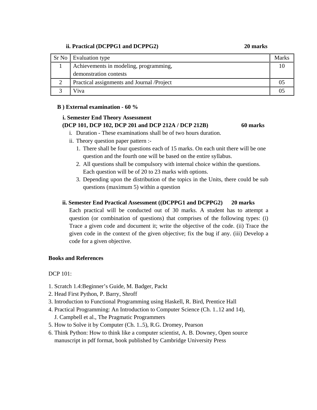# **ii. Practical (DCPPG1 and DCPPG2) 20 marks**

| Sr No Evaluation type                      |  |
|--------------------------------------------|--|
| Achievements in modeling, programming,     |  |
| demonstration contests                     |  |
| Practical assignments and Journal /Project |  |
| $\alpha$                                   |  |

# **B ) External examination - 60 %**

# **i. Semester End Theory Assessment (DCP 101, DCP 102, DCP 201 and DCP 212A / DCP 212B) 60 marks**

- i. Duration These examinations shall be of two hours duration.
- ii. Theory question paper pattern :-
	- 1. There shall be four questions each of 15 marks. On each unit there will be one question and the fourth one will be based on the entire syllabus.
	- 2. All questions shall be compulsory with internal choice within the questions. Each question will be of 20 to 23 marks with options.
	- 3. Depending upon the distribution of the topics in the Units, there could be sub questions (maximum 5) within a question

# **ii. Semester End Practical Assessment ((DCPPG1 and DCPPG2) 20 marks**

Each practical will be conducted out of 30 marks. A student has to attempt a question (or combination of questions) that comprises of the following types: (i) Trace a given code and document it; write the objective of the code. (ii) Trace the given code in the context of the given objective; fix the bug if any. (iii) Develop a code for a given objective.

# **Books and References**

DCP 101:

- 1. Scratch 1.4:Beginner's Guide, M. Badger, Packt
- 2. Head First Python, P. Barry, Shroff
- 3. Introduction to Functional Programming using Haskell, R. Bird, Prentice Hall
- 4. Practical Programming: An Introduction to Computer Science (Ch. 1..12 and 14), J. Campbell et al., The Pragmatic Programmers
- 5. How to Solve it by Computer (Ch. 1..5), R.G. Dromey, Pearson
- 6. Think Python: How to think like a computer scientist, A. B. Downey, Open source manuscript in pdf format, book published by Cambridge University Press